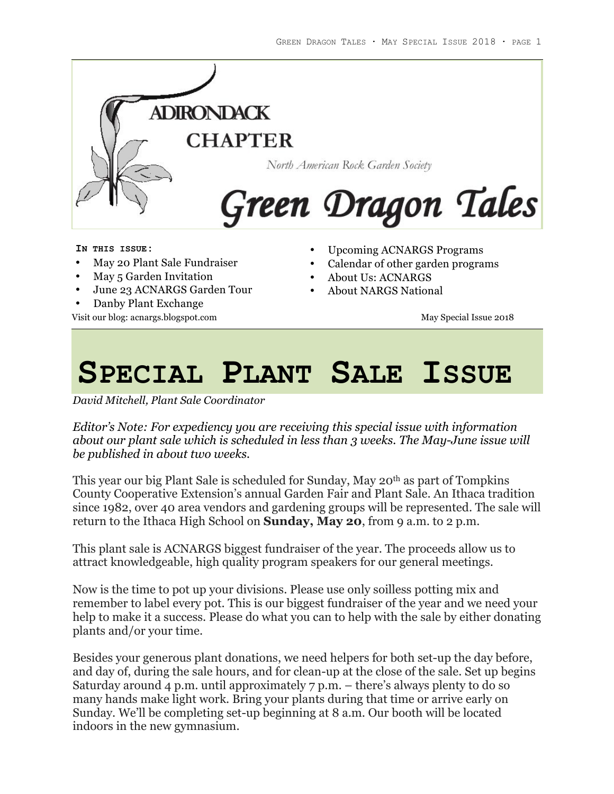

**IN THIS ISSUE:**

- May 20 Plant Sale Fundraiser
- May 5 Garden Invitation
- June 23 ACNARGS Garden Tour
- Danby Plant Exchange

Visit our blog: acnargs.blogspot.com and the matrix of the May Special Issue 2018

- Upcoming ACNARGS Programs
- Calendar of other garden programs
- About Us: ACNARGS
- About NARGS National

# **SPECIAL PLANT SALE ISSUE**

*David Mitchell, Plant Sale Coordinator*

*Editor's Note: For expediency you are receiving this special issue with information about our plant sale which is scheduled in less than 3 weeks. The May-June issue will be published in about two weeks.*

This year our big Plant Sale is scheduled for Sunday, May 20th as part of Tompkins County Cooperative Extension's annual Garden Fair and Plant Sale. An Ithaca tradition since 1982, over 40 area vendors and gardening groups will be represented. The sale will return to the Ithaca High School on **Sunday, May 20**, from 9 a.m. to 2 p.m.

This plant sale is ACNARGS biggest fundraiser of the year. The proceeds allow us to attract knowledgeable, high quality program speakers for our general meetings.

Now is the time to pot up your divisions. Please use only soilless potting mix and remember to label every pot. This is our biggest fundraiser of the year and we need your help to make it a success. Please do what you can to help with the sale by either donating plants and/or your time.

Besides your generous plant donations, we need helpers for both set-up the day before, and day of, during the sale hours, and for clean-up at the close of the sale. Set up begins Saturday around 4 p.m. until approximately 7 p.m. – there's always plenty to do so many hands make light work. Bring your plants during that time or arrive early on Sunday. We'll be completing set-up beginning at 8 a.m. Our booth will be located indoors in the new gymnasium.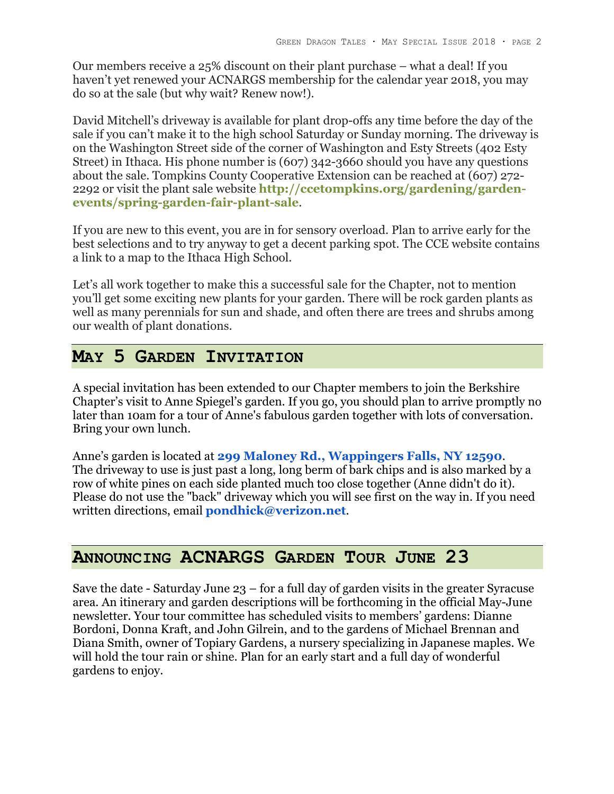Our members receive a 25% discount on their plant purchase – what a deal! If you haven't yet renewed your ACNARGS membership for the calendar year 2018, you may do so at the sale (but why wait? Renew now!).

David Mitchell's driveway is available for plant drop-offs any time before the day of the sale if you can't make it to the high school Saturday or Sunday morning. The driveway is on the Washington Street side of the corner of Washington and Esty Streets (402 Esty Street) in Ithaca. His phone number is (607) 342-3660 should you have any questions about the sale. Tompkins County Cooperative Extension can be reached at (607) 272- 2292 or visit the plant sale website **http://ccetompkins.org/gardening/gardenevents/spring-garden-fair-plant-sale**.

If you are new to this event, you are in for sensory overload. Plan to arrive early for the best selections and to try anyway to get a decent parking spot. The CCE website contains a link to a map to the Ithaca High School.

Let's all work together to make this a successful sale for the Chapter, not to mention you'll get some exciting new plants for your garden. There will be rock garden plants as well as many perennials for sun and shade, and often there are trees and shrubs among our wealth of plant donations.

# **MAY 5 GARDEN INVITATION**

A special invitation has been extended to our Chapter members to join the Berkshire Chapter's visit to Anne Spiegel's garden. If you go, you should plan to arrive promptly no later than 10am for a tour of Anne's fabulous garden together with lots of conversation. Bring your own lunch.

Anne's garden is located at **299 Maloney Rd., Wappingers Falls, NY 12590**. The driveway to use is just past a long, long berm of bark chips and is also marked by a row of white pines on each side planted much too close together (Anne didn't do it). Please do not use the "back" driveway which you will see first on the way in. If you need written directions, email **pondhick@verizon.net**.

# **ANNOUNCING ACNARGS GARDEN TOUR JUNE 23**

Save the date - Saturday June 23 – for a full day of garden visits in the greater Syracuse area. An itinerary and garden descriptions will be forthcoming in the official May-June newsletter. Your tour committee has scheduled visits to members' gardens: Dianne Bordoni, Donna Kraft, and John Gilrein, and to the gardens of Michael Brennan and Diana Smith, owner of Topiary Gardens, a nursery specializing in Japanese maples. We will hold the tour rain or shine. Plan for an early start and a full day of wonderful gardens to enjoy.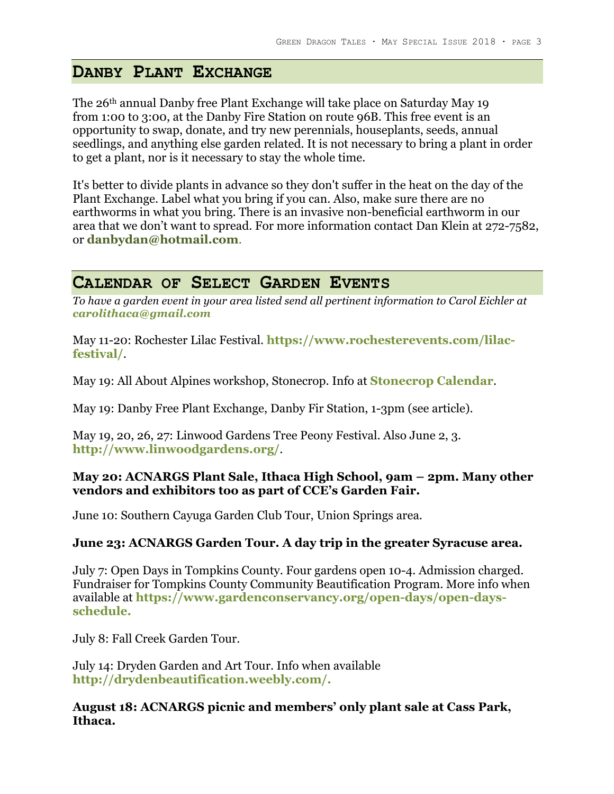## **DANBY PLANT EXCHANGE**

The 26th annual Danby free Plant Exchange will take place on Saturday May 19 from 1:00 to 3:00, at the Danby Fire Station on route 96B. This free event is an opportunity to swap, donate, and try new perennials, houseplants, seeds, annual seedlings, and anything else garden related. It is not necessary to bring a plant in order to get a plant, nor is it necessary to stay the whole time.

It's better to divide plants in advance so they don't suffer in the heat on the day of the Plant Exchange. Label what you bring if you can. Also, make sure there are no earthworms in what you bring. There is an invasive non-beneficial earthworm in our area that we don't want to spread. For more information contact Dan Klein at 272-7582, or **danbydan@hotmail.com**.

## **CALENDAR OF SELECT GARDEN EVENTS**

*To have a garden event in your area listed send all pertinent information to Carol Eichler at carolithaca@gmail.com*

May 11-20: Rochester Lilac Festival. **https://www.rochesterevents.com/lilacfestival/**.

May 19: All About Alpines workshop, Stonecrop. Info at **Stonecrop Calendar**.

May 19: Danby Free Plant Exchange, Danby Fir Station, 1-3pm (see article).

May 19, 20, 26, 27: Linwood Gardens Tree Peony Festival. Also June 2, 3. **http://www.linwoodgardens.org/**.

### **May 20: ACNARGS Plant Sale, Ithaca High School, 9am – 2pm. Many other vendors and exhibitors too as part of CCE's Garden Fair.**

June 10: Southern Cayuga Garden Club Tour, Union Springs area.

### **June 23: ACNARGS Garden Tour. A day trip in the greater Syracuse area.**

July 7: Open Days in Tompkins County. Four gardens open 10-4. Admission charged. Fundraiser for Tompkins County Community Beautification Program. More info when available at **https://www.gardenconservancy.org/open-days/open-daysschedule.**

July 8: Fall Creek Garden Tour.

July 14: Dryden Garden and Art Tour. Info when available **http://drydenbeautification.weebly.com/.**

**August 18: ACNARGS picnic and members' only plant sale at Cass Park, Ithaca.**